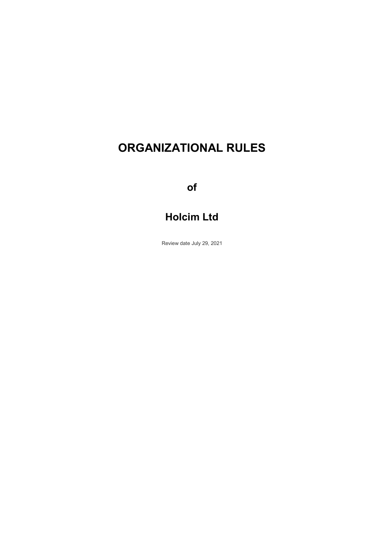# **ORGANIZATIONAL RULES**

**of**

# **Holcim Ltd**

Review date July 29, 2021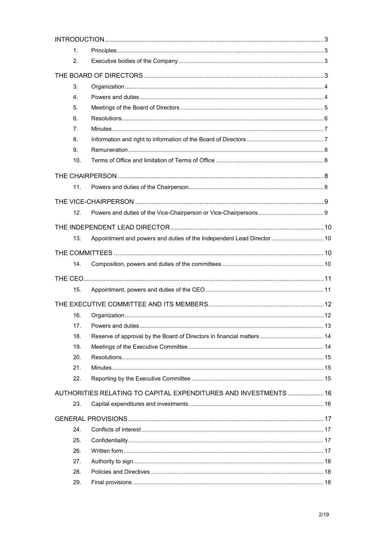| 1.  |                                                                        |  |
|-----|------------------------------------------------------------------------|--|
| 2.  |                                                                        |  |
|     |                                                                        |  |
| 3.  |                                                                        |  |
| 4.  |                                                                        |  |
| 5.  |                                                                        |  |
| 6.  |                                                                        |  |
| 7.  |                                                                        |  |
| 8.  |                                                                        |  |
| 9.  |                                                                        |  |
| 10. |                                                                        |  |
|     |                                                                        |  |
| 11. |                                                                        |  |
|     |                                                                        |  |
| 12. |                                                                        |  |
|     |                                                                        |  |
| 13. | Appointment and powers and duties of the Independent Lead Director  10 |  |
|     |                                                                        |  |
| 14. |                                                                        |  |
|     |                                                                        |  |
|     |                                                                        |  |
| 15. |                                                                        |  |
|     |                                                                        |  |
| 16. |                                                                        |  |
| 17. |                                                                        |  |
| 18. |                                                                        |  |
| 19. |                                                                        |  |
| 20. |                                                                        |  |
| 21. |                                                                        |  |
| 22. |                                                                        |  |
|     | AUTHORITIES RELATING TO CAPITAL EXPENDITURES AND INVESTMENTS  16       |  |
| 23. |                                                                        |  |
|     |                                                                        |  |
| 24. |                                                                        |  |
| 25. |                                                                        |  |
| 26. |                                                                        |  |
| 27. |                                                                        |  |
| 28. |                                                                        |  |
| 29. |                                                                        |  |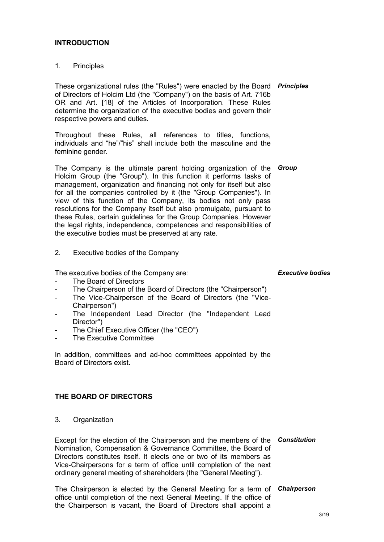### **INTRODUCTION**

1. Principles

These organizational rules (the "Rules") were enacted by the Board *Principles* of Directors of Holcim Ltd (the "Company") on the basis of Art. 716b OR and Art. [18] of the Articles of Incorporation. These Rules determine the organization of the executive bodies and govern their respective powers and duties.

Throughout these Rules, all references to titles, functions, individuals and "he"/"his" shall include both the masculine and the feminine gender.

The Company is the ultimate parent holding organization of the Holcim Group (the "Group"). In this function it performs tasks of management, organization and financing not only for itself but also for all the companies controlled by it (the "Group Companies"). In view of this function of the Company, its bodies not only pass resolutions for the Company itself but also promulgate, pursuant to these Rules, certain guidelines for the Group Companies. However the legal rights, independence, competences and responsibilities of the executive bodies must be preserved at any rate.

2. Executive bodies of the Company

The executive bodies of the Company are:

- The Board of Directors
- The Chairperson of the Board of Directors (the "Chairperson")
- The Vice-Chairperson of the Board of Directors (the "Vice-Chairperson")
- The Independent Lead Director (the "Independent Lead Director")
- The Chief Executive Officer (the "CEO")
- The Executive Committee

In addition, committees and ad-hoc committees appointed by the Board of Directors exist.

#### **THE BOARD OF DIRECTORS**

3. Organization

Except for the election of the Chairperson and the members of the *Constitution* Nomination, Compensation & Governance Committee, the Board of Directors constitutes itself. It elects one or two of its members as Vice-Chairpersons for a term of office until completion of the next ordinary general meeting of shareholders (the "General Meeting").

The Chairperson is elected by the General Meeting for a term of *Chairperson*office until completion of the next General Meeting. If the office of the Chairperson is vacant, the Board of Directors shall appoint a

#### *Executive bodies*

*Group*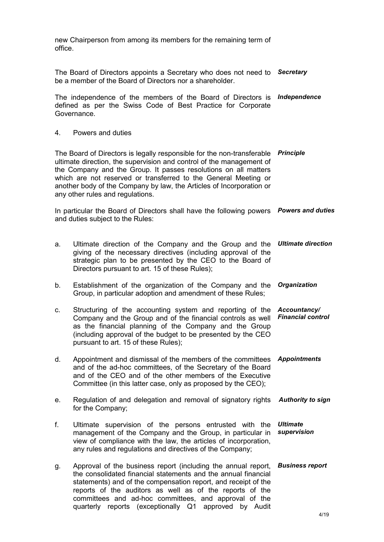new Chairperson from among its members for the remaining term of office.

The Board of Directors appoints a Secretary who does not need to *Secretary* be a member of the Board of Directors nor a shareholder. The independence of the members of the Board of Directors is *Independence* defined as per the Swiss Code of Best Practice for Corporate Governance. 4. Powers and duties The Board of Directors is legally responsible for the non-transferable *Principle* ultimate direction, the supervision and control of the management of the Company and the Group. It passes resolutions on all matters which are not reserved or transferred to the General Meeting or another body of the Company by law, the Articles of Incorporation or any other rules and regulations. In particular the Board of Directors shall have the following powers *Powers and duties* and duties subject to the Rules: a. Ultimate direction of the Company and the Group and the *Ultimate direction* giving of the necessary directives (including approval of the strategic plan to be presented by the CEO to the Board of Directors pursuant to art. 15 of these Rules); b. Establishment of the organization of the Company and the *Organization* Group, in particular adoption and amendment of these Rules; c. Structuring of the accounting system and reporting of the Company and the Group and of the financial controls as well as the financial planning of the Company and the Group (including approval of the budget to be presented by the CEO pursuant to art. 15 of these Rules); *Accountancy/ Financial control* d. Appointment and dismissal of the members of the committees *Appointments* and of the ad-hoc committees, of the Secretary of the Board and of the CEO and of the other members of the Executive Committee (in this latter case, only as proposed by the CEO); e. Regulation of and delegation and removal of signatory rights *Authority to sign* for the Company; f. Ultimate supervision of the persons entrusted with the management of the Company and the Group, in particular in view of compliance with the law, the articles of incorporation, any rules and regulations and directives of the Company; *Ultimate supervision* g. Approval of the business report (including the annual report, *Business report*the consolidated financial statements and the annual financial statements) and of the compensation report, and receipt of the reports of the auditors as well as of the reports of the

committees and ad-hoc committees, and approval of the quarterly reports (exceptionally Q1 approved by Audit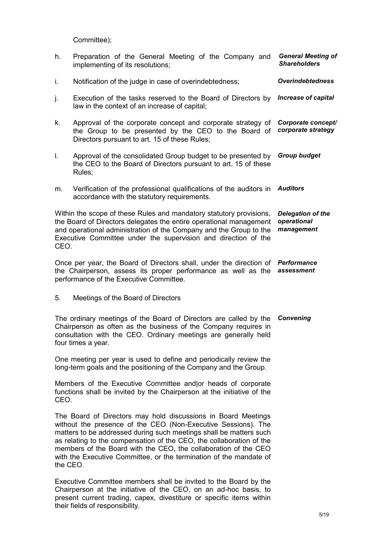Committee);

| h.                                                                                                                                                                                                                                                                                                                                                                                                                                | Preparation of the General Meeting of the Company and<br>implementing of its resolutions;                                                                            | <b>General Meeting of</b><br><b>Shareholders</b>      |
|-----------------------------------------------------------------------------------------------------------------------------------------------------------------------------------------------------------------------------------------------------------------------------------------------------------------------------------------------------------------------------------------------------------------------------------|----------------------------------------------------------------------------------------------------------------------------------------------------------------------|-------------------------------------------------------|
| i.                                                                                                                                                                                                                                                                                                                                                                                                                                | Notification of the judge in case of overindebtedness;                                                                                                               | <b>Overindebtedness</b>                               |
| j.                                                                                                                                                                                                                                                                                                                                                                                                                                | Execution of the tasks reserved to the Board of Directors by<br>law in the context of an increase of capital;                                                        | <b>Increase of capital</b>                            |
| k.                                                                                                                                                                                                                                                                                                                                                                                                                                | Approval of the corporate concept and corporate strategy of<br>the Group to be presented by the CEO to the Board of<br>Directors pursuant to art. 15 of these Rules; | Corporate concept/<br>corporate strategy              |
| I.                                                                                                                                                                                                                                                                                                                                                                                                                                | Approval of the consolidated Group budget to be presented by<br>the CEO to the Board of Directors pursuant to art. 15 of these<br>Rules;                             | <b>Group budget</b>                                   |
| m.                                                                                                                                                                                                                                                                                                                                                                                                                                | Verification of the professional qualifications of the auditors in<br>accordance with the statutory requirements.                                                    | <b>Auditors</b>                                       |
| Within the scope of these Rules and mandatory statutory provisions,<br>the Board of Directors delegates the entire operational management<br>and operational administration of the Company and the Group to the<br>Executive Committee under the supervision and direction of the<br>CEO.                                                                                                                                         |                                                                                                                                                                      | <b>Delegation of the</b><br>operational<br>management |
| Once per year, the Board of Directors shall, under the direction of Performance<br>the Chairperson, assess its proper performance as well as the<br>performance of the Executive Committee.                                                                                                                                                                                                                                       |                                                                                                                                                                      | assessment                                            |
| 5.                                                                                                                                                                                                                                                                                                                                                                                                                                | Meetings of the Board of Directors                                                                                                                                   |                                                       |
| The ordinary meetings of the Board of Directors are called by the<br>Chairperson as often as the business of the Company requires in<br>consultation with the CEO. Ordinary meetings are generally held<br>four times a year.                                                                                                                                                                                                     |                                                                                                                                                                      | Convening                                             |
| One meeting per year is used to define and periodically review the<br>long-term goals and the positioning of the Company and the Group.                                                                                                                                                                                                                                                                                           |                                                                                                                                                                      |                                                       |
| Members of the Executive Committee and or heads of corporate<br>functions shall be invited by the Chairperson at the initiative of the<br>CEO.                                                                                                                                                                                                                                                                                    |                                                                                                                                                                      |                                                       |
| The Board of Directors may hold discussions in Board Meetings<br>without the presence of the CEO (Non-Executive Sessions). The<br>matters to be addressed during such meetings shall be matters such<br>as relating to the compensation of the CEO, the collaboration of the<br>members of the Board with the CEO, the collaboration of the CEO<br>with the Executive Committee, or the termination of the mandate of<br>the CEO. |                                                                                                                                                                      |                                                       |

Executive Committee members shall be invited to the Board by the Chairperson at the initiative of the CEO, on an ad-hoc basis, to present current trading, capex, divestiture or specific items within their fields of responsibility.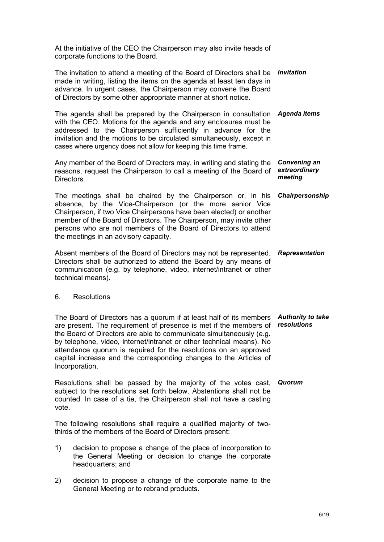At the initiative of the CEO the Chairperson may also invite heads of corporate functions to the Board.

| The invitation to attend a meeting of the Board of Directors shall be<br>made in writing, listing the items on the agenda at least ten days in<br>advance. In urgent cases, the Chairperson may convene the Board<br>of Directors by some other appropriate manner at short notice.                                                                                                | <b>Invitation</b>                               |
|------------------------------------------------------------------------------------------------------------------------------------------------------------------------------------------------------------------------------------------------------------------------------------------------------------------------------------------------------------------------------------|-------------------------------------------------|
| The agenda shall be prepared by the Chairperson in consultation<br>with the CEO. Motions for the agenda and any enclosures must be<br>addressed to the Chairperson sufficiently in advance for the<br>invitation and the motions to be circulated simultaneously, except in<br>cases where urgency does not allow for keeping this time frame.                                     | Agenda items                                    |
| Any member of the Board of Directors may, in writing and stating the<br>reasons, request the Chairperson to call a meeting of the Board of<br>Directors.                                                                                                                                                                                                                           | <b>Convening an</b><br>extraordinary<br>meeting |
| The meetings shall be chaired by the Chairperson or, in his<br>absence, by the Vice-Chairperson (or the more senior Vice<br>Chairperson, if two Vice Chairpersons have been elected) or another<br>member of the Board of Directors. The Chairperson, may invite other<br>persons who are not members of the Board of Directors to attend<br>the meetings in an advisory capacity. | Chairpersonship                                 |
| Absent members of the Board of Directors may not be represented.<br>Directors shall be authorized to attend the Board by any means of<br>communication (e.g. by telephone, video, internet/intranet or other<br>technical means).                                                                                                                                                  | <b>Representation</b>                           |
| <b>Resolutions</b><br>6.                                                                                                                                                                                                                                                                                                                                                           |                                                 |
| — — — —                                                                                                                                                                                                                                                                                                                                                                            |                                                 |

The Board of Directors has a quorum if at least half of its members *Authority to take*  are present. The requirement of presence is met if the members of *resolutions*  the Board of Directors are able to communicate simultaneously (e.g. by telephone, video, internet/intranet or other technical means). No attendance quorum is required for the resolutions on an approved capital increase and the corresponding changes to the Articles of Incorporation.

Resolutions shall be passed by the majority of the votes cast, *Quorum*subject to the resolutions set forth below. Abstentions shall not be counted. In case of a tie, the Chairperson shall not have a casting vote.

The following resolutions shall require a qualified majority of twothirds of the members of the Board of Directors present:

- 1) decision to propose a change of the place of incorporation to the General Meeting or decision to change the corporate headquarters; and
- 2) decision to propose a change of the corporate name to the General Meeting or to rebrand products.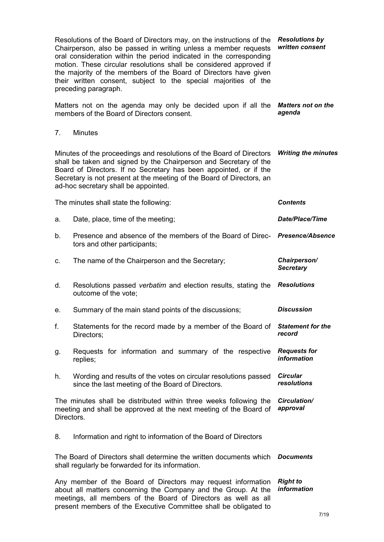| Resolutions of the Board of Directors may, on the instructions of the<br>Chairperson, also be passed in writing unless a member requests<br>oral consideration within the period indicated in the corresponding<br>motion. These circular resolutions shall be considered approved if<br>the majority of the members of the Board of Directors have given<br>their written consent, subject to the special majorities of the<br>preceding paragraph. |                                                                                                                                                                                                                                                                                                                                 | <b>Resolutions by</b><br>written consent  |
|------------------------------------------------------------------------------------------------------------------------------------------------------------------------------------------------------------------------------------------------------------------------------------------------------------------------------------------------------------------------------------------------------------------------------------------------------|---------------------------------------------------------------------------------------------------------------------------------------------------------------------------------------------------------------------------------------------------------------------------------------------------------------------------------|-------------------------------------------|
|                                                                                                                                                                                                                                                                                                                                                                                                                                                      | Matters not on the agenda may only be decided upon if all the <b>Matters not on the</b><br>members of the Board of Directors consent.                                                                                                                                                                                           | agenda                                    |
| 7.                                                                                                                                                                                                                                                                                                                                                                                                                                                   | <b>Minutes</b>                                                                                                                                                                                                                                                                                                                  |                                           |
|                                                                                                                                                                                                                                                                                                                                                                                                                                                      | Minutes of the proceedings and resolutions of the Board of Directors<br>shall be taken and signed by the Chairperson and Secretary of the<br>Board of Directors. If no Secretary has been appointed, or if the<br>Secretary is not present at the meeting of the Board of Directors, an<br>ad-hoc secretary shall be appointed. | <b>Writing the minutes</b>                |
|                                                                                                                                                                                                                                                                                                                                                                                                                                                      | The minutes shall state the following:                                                                                                                                                                                                                                                                                          | <b>Contents</b>                           |
| a.                                                                                                                                                                                                                                                                                                                                                                                                                                                   | Date, place, time of the meeting;                                                                                                                                                                                                                                                                                               | <b>Date/Place/Time</b>                    |
| b.                                                                                                                                                                                                                                                                                                                                                                                                                                                   | Presence and absence of the members of the Board of Direc- Presence/Absence<br>tors and other participants;                                                                                                                                                                                                                     |                                           |
| c.                                                                                                                                                                                                                                                                                                                                                                                                                                                   | The name of the Chairperson and the Secretary;                                                                                                                                                                                                                                                                                  | Chairperson/<br><b>Secretary</b>          |
| d.                                                                                                                                                                                                                                                                                                                                                                                                                                                   | Resolutions passed verbatim and election results, stating the<br>outcome of the vote;                                                                                                                                                                                                                                           | <b>Resolutions</b>                        |
| е.                                                                                                                                                                                                                                                                                                                                                                                                                                                   | Summary of the main stand points of the discussions;                                                                                                                                                                                                                                                                            | <b>Discussion</b>                         |
| f.                                                                                                                                                                                                                                                                                                                                                                                                                                                   | Statements for the record made by a member of the Board of<br>Directors;                                                                                                                                                                                                                                                        | <b>Statement for the</b><br>record        |
| g.                                                                                                                                                                                                                                                                                                                                                                                                                                                   | Requests for information and summary of the respective<br>replies;                                                                                                                                                                                                                                                              | <b>Requests for</b><br><i>information</i> |
| h.                                                                                                                                                                                                                                                                                                                                                                                                                                                   | Wording and results of the votes on circular resolutions passed<br>since the last meeting of the Board of Directors.                                                                                                                                                                                                            | <b>Circular</b><br>resolutions            |
| Directors.                                                                                                                                                                                                                                                                                                                                                                                                                                           | The minutes shall be distributed within three weeks following the<br>meeting and shall be approved at the next meeting of the Board of                                                                                                                                                                                          | Circulation/<br>approval                  |
| 8.                                                                                                                                                                                                                                                                                                                                                                                                                                                   | Information and right to information of the Board of Directors                                                                                                                                                                                                                                                                  |                                           |
|                                                                                                                                                                                                                                                                                                                                                                                                                                                      | The Board of Directors shall determine the written documents which<br>shall regularly be forwarded for its information.                                                                                                                                                                                                         | <b>Documents</b>                          |
|                                                                                                                                                                                                                                                                                                                                                                                                                                                      | Any member of the Board of Directors may request information<br>about all matters concerning the Company and the Group. At the<br>meetings, all members of the Board of Directors as well as all<br>present members of the Executive Committee shall be obligated to                                                            | <b>Right to</b><br><i>information</i>     |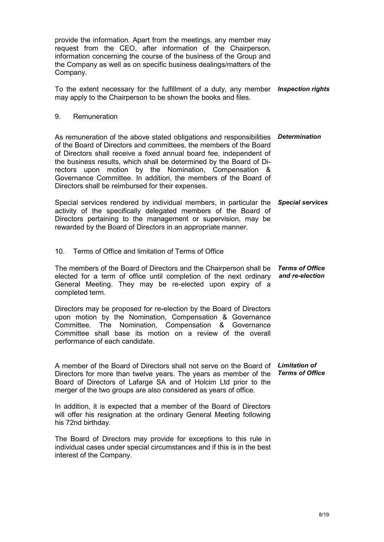provide the information. Apart from the meetings, any member may request from the CEO, after information of the Chairperson, information concerning the course of the business of the Group and the Company as well as on specific business dealings/matters of the Company. To the extent necessary for the fulfillment of a duty, any member *Inspection rights* may apply to the Chairperson to be shown the books and files. 9. Remuneration As remuneration of the above stated obligations and responsibilities *Determination* of the Board of Directors and committees, the members of the Board of Directors shall receive a fixed annual board fee, independent of the business results, which shall be determined by the Board of Directors upon motion by the Nomination, Compensation & Governance Committee. In addition, the members of the Board of Directors shall be reimbursed for their expenses. Special services rendered by individual members, in particular the *Special services* activity of the specifically delegated members of the Board of Directors pertaining to the management or supervision, may be rewarded by the Board of Directors in an appropriate manner. 10. Terms of Office and limitation of Terms of Office The members of the Board of Directors and the Chairperson shall be *Terms of Office*  elected for a term of office until completion of the next ordinary *and re-election* General Meeting. They may be re-elected upon expiry of a completed term. Directors may be proposed for re-election by the Board of Directors upon motion by the Nomination, Compensation & Governance Committee. The Nomination, Compensation & Governance Committee shall base its motion on a review of the overall performance of each candidate. A member of the Board of Directors shall not serve on the Board of *Limitation of*  Directors for more than twelve years. The years as member of the Board of Directors of Lafarge SA and of Holcim Ltd prior to the merger of the two groups are also considered as years of office. In addition, it is expected that a member of the Board of Directors will offer his resignation at the ordinary General Meeting following his 72nd birthday. The Board of Directors may provide for exceptions to this rule in individual cases under special circumstances and if this is in the best interest of the Company. *Terms of Office*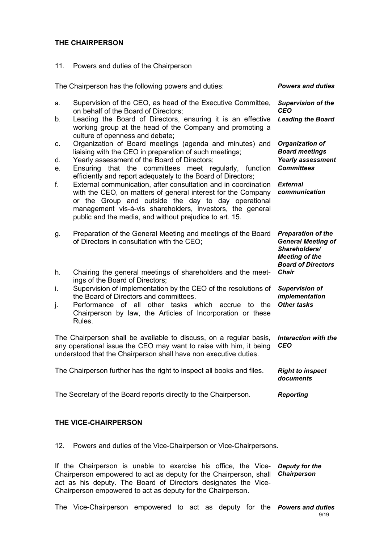#### **THE CHAIRPERSON**

11. Powers and duties of the Chairperson

| The Chairperson has the following powers and duties:                  |                                                                                                                                                                                                                                                                                                                                                                               | <b>Powers and duties</b>                                                                                                      |
|-----------------------------------------------------------------------|-------------------------------------------------------------------------------------------------------------------------------------------------------------------------------------------------------------------------------------------------------------------------------------------------------------------------------------------------------------------------------|-------------------------------------------------------------------------------------------------------------------------------|
| a.<br>b.                                                              | Supervision of the CEO, as head of the Executive Committee,<br>on behalf of the Board of Directors;<br>Leading the Board of Directors, ensuring it is an effective<br>working group at the head of the Company and promoting a                                                                                                                                                | <b>Supervision of the</b><br><b>CEO</b><br><b>Leading the Board</b>                                                           |
| C.<br>d.<br>е.                                                        | culture of openness and debate;<br>Organization of Board meetings (agenda and minutes) and<br>liaising with the CEO in preparation of such meetings;<br>Yearly assessment of the Board of Directors;<br>Ensuring that the committees<br>meet regularly, function                                                                                                              | <b>Organization of</b><br><b>Board meetings</b><br><b>Yearly assessment</b><br><b>Committees</b>                              |
| f.                                                                    | efficiently and report adequately to the Board of Directors;<br>External communication, after consultation and in coordination<br>with the CEO, on matters of general interest for the Company<br>or the Group and outside the day to day operational<br>management vis-à-vis shareholders, investors, the general<br>public and the media, and without prejudice to art. 15. | <b>External</b><br>communication                                                                                              |
| g.                                                                    | Preparation of the General Meeting and meetings of the Board<br>of Directors in consultation with the CEO;                                                                                                                                                                                                                                                                    | <b>Preparation of the</b><br><b>General Meeting of</b><br>Shareholders/<br><b>Meeting of the</b><br><b>Board of Directors</b> |
| h.                                                                    | Chairing the general meetings of shareholders and the meet-<br>ings of the Board of Directors;                                                                                                                                                                                                                                                                                | <b>Chair</b>                                                                                                                  |
| i.<br>j.                                                              | Supervision of implementation by the CEO of the resolutions of<br>the Board of Directors and committees.<br>other tasks which<br>Performance of all<br>accrue<br>to<br>the<br>Chairperson by law, the Articles of Incorporation or these<br>Rules.                                                                                                                            | <b>Supervision of</b><br>implementation<br><b>Other tasks</b>                                                                 |
|                                                                       | The Chairperson shall be available to discuss, on a regular basis,<br>any operational issue the CEO may want to raise with him, it being<br>understood that the Chairperson shall have non executive duties.                                                                                                                                                                  | <b>Interaction with the</b><br><b>CEO</b>                                                                                     |
| The Chairperson further has the right to inspect all books and files. |                                                                                                                                                                                                                                                                                                                                                                               | <b>Right to inspect</b><br>documents                                                                                          |
| The Secretary of the Board reports directly to the Chairperson.       |                                                                                                                                                                                                                                                                                                                                                                               | <b>Reporting</b>                                                                                                              |

## **THE VICE-CHAIRPERSON**

12. Powers and duties of the Vice-Chairperson or Vice-Chairpersons.

If the Chairperson is unable to exercise his office, the Vice-*Deputy for the*  Chairperson empowered to act as deputy for the Chairperson, shall *Chairperson* act as his deputy. The Board of Directors designates the Vice-Chairperson empowered to act as deputy for the Chairperson.

The Vice-Chairperson empowered to act as deputy for the *Powers and duties*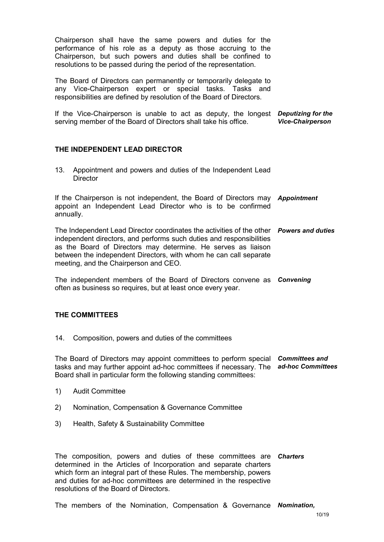Chairperson shall have the same powers and duties for the performance of his role as a deputy as those accruing to the Chairperson, but such powers and duties shall be confined to resolutions to be passed during the period of the representation.

The Board of Directors can permanently or temporarily delegate to any Vice-Chairperson expert or special tasks. Tasks and responsibilities are defined by resolution of the Board of Directors.

If the Vice-Chairperson is unable to act as deputy, the longest *Deputizing for the*  serving member of the Board of Directors shall take his office. *Vice-Chairperson*

#### **THE INDEPENDENT LEAD DIRECTOR**

13. Appointment and powers and duties of the Independent Lead **Director** 

If the Chairperson is not independent, the Board of Directors may *Appointment* appoint an Independent Lead Director who is to be confirmed annually.

The Independent Lead Director coordinates the activities of the other *Powers and duties* independent directors, and performs such duties and responsibilities as the Board of Directors may determine. He serves as liaison between the independent Directors, with whom he can call separate meeting, and the Chairperson and CEO.

The independent members of the Board of Directors convene as *Convening* often as business so requires, but at least once every year.

#### **THE COMMITTEES**

14. Composition, powers and duties of the committees

The Board of Directors may appoint committees to perform special *Committees and*  tasks and may further appoint ad-hoc committees if necessary. The *ad-hoc Committees* Board shall in particular form the following standing committees:

- 1) Audit Committee
- 2) Nomination, Compensation & Governance Committee
- 3) Health, Safety & Sustainability Committee

The composition, powers and duties of these committees are *Charters* determined in the Articles of Incorporation and separate charters which form an integral part of these Rules. The membership, powers and duties for ad-hoc committees are determined in the respective resolutions of the Board of Directors.

The members of the Nomination, Compensation & Governance *Nomination,*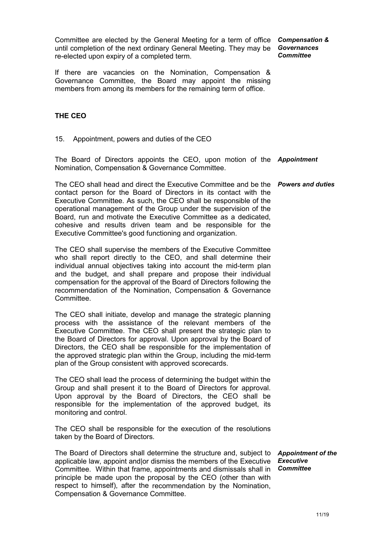Committee are elected by the General Meeting for a term of office until completion of the next ordinary General Meeting. They may be *Governances* re-elected upon expiry of a completed term.

*Compensation & Committee*

If there are vacancies on the Nomination, Compensation & Governance Committee, the Board may appoint the missing members from among its members for the remaining term of office.

#### **THE CEO**

15. Appointment, powers and duties of the CEO

The Board of Directors appoints the CEO, upon motion of the *Appointment* Nomination, Compensation & Governance Committee.

The CEO shall head and direct the Executive Committee and be the *Powers and duties* contact person for the Board of Directors in its contact with the Executive Committee. As such, the CEO shall be responsible of the operational management of the Group under the supervision of the Board, run and motivate the Executive Committee as a dedicated, cohesive and results driven team and be responsible for the Executive Committee's good functioning and organization.

The CEO shall supervise the members of the Executive Committee who shall report directly to the CEO, and shall determine their individual annual objectives taking into account the mid-term plan and the budget, and shall prepare and propose their individual compensation for the approval of the Board of Directors following the recommendation of the Nomination, Compensation & Governance Committee.

The CEO shall initiate, develop and manage the strategic planning process with the assistance of the relevant members of the Executive Committee. The CEO shall present the strategic plan to the Board of Directors for approval. Upon approval by the Board of Directors, the CEO shall be responsible for the implementation of the approved strategic plan within the Group, including the mid-term plan of the Group consistent with approved scorecards.

The CEO shall lead the process of determining the budget within the Group and shall present it to the Board of Directors for approval. Upon approval by the Board of Directors, the CEO shall be responsible for the implementation of the approved budget, its monitoring and control.

The CEO shall be responsible for the execution of the resolutions taken by the Board of Directors.

The Board of Directors shall determine the structure and, subject to *Appointment of the* applicable law, appoint and|or dismiss the members of the Executive *Executive* Committee. Within that frame, appointments and dismissals shall in *Committee*principle be made upon the proposal by the CEO (other than with respect to himself), after the recommendation by the Nomination, Compensation & Governance Committee.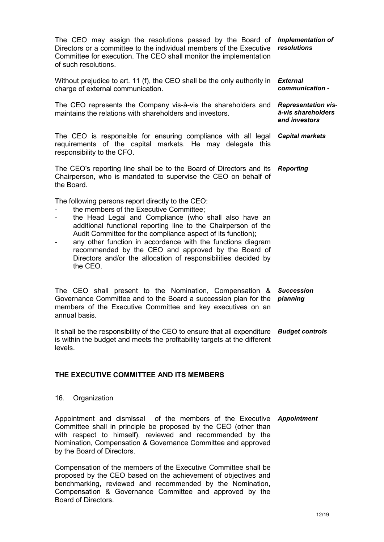The CEO may assign the resolutions passed by the Board of *Implementation of*  Directors or a committee to the individual members of the Executive Committee for execution. The CEO shall monitor the implementation of such resolutions. *resolutions*

Without prejudice to art. 11 (f), the CEO shall be the only authority in *External*  charge of external communication. *communication -*

The CEO represents the Company vis-à-vis the shareholders and *Representation vis*maintains the relations with shareholders and investors.

The CEO is responsible for ensuring compliance with all legal *Capital markets* requirements of the capital markets. He may delegate this responsibility to the CFO.

The CEO's reporting line shall be to the Board of Directors and its *Reporting* Chairperson, who is mandated to supervise the CEO on behalf of the Board.

The following persons report directly to the CEO:

- the members of the Executive Committee:
- the Head Legal and Compliance (who shall also have an additional functional reporting line to the Chairperson of the Audit Committee for the compliance aspect of its function);
- any other function in accordance with the functions diagram recommended by the CEO and approved by the Board of Directors and/or the allocation of responsibilities decided by the CEO.

The CEO shall present to the Nomination, Compensation & Governance Committee and to the Board a succession plan for the *planning* members of the Executive Committee and key executives on an annual basis. *Succession* 

It shall be the responsibility of the CEO to ensure that all expenditure *Budget controls* is within the budget and meets the profitability targets at the different levels.

## **THE EXECUTIVE COMMITTEE AND ITS MEMBERS**

#### 16. Organization

Appointment and dismissal of the members of the Executive *Appointment* Committee shall in principle be proposed by the CEO (other than with respect to himself), reviewed and recommended by the Nomination, Compensation & Governance Committee and approved by the Board of Directors.

Compensation of the members of the Executive Committee shall be proposed by the CEO based on the achievement of objectives and benchmarking, reviewed and recommended by the Nomination, Compensation & Governance Committee and approved by the Board of Directors.

12/19

*à-vis shareholders and investors*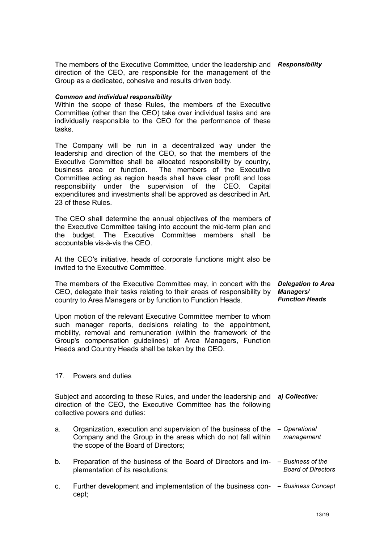The members of the Executive Committee, under the leadership and *Responsibility* direction of the CEO, are responsible for the management of the Group as a dedicated, cohesive and results driven body.

#### *Common and individual responsibility*

Within the scope of these Rules, the members of the Executive Committee (other than the CEO) take over individual tasks and are individually responsible to the CEO for the performance of these tasks.

The Company will be run in a decentralized way under the leadership and direction of the CEO, so that the members of the Executive Committee shall be allocated responsibility by country, business area or function. The members of the Executive Committee acting as region heads shall have clear profit and loss responsibility under the supervision of the CEO. Capital expenditures and investments shall be approved as described in Art. 23 of these Rules.

The CEO shall determine the annual objectives of the members of the Executive Committee taking into account the mid-term plan and the budget. The Executive Committee members shall be accountable vis-à-vis the CEO.

At the CEO's initiative, heads of corporate functions might also be invited to the Executive Committee.

The members of the Executive Committee may, in concert with the CEO, delegate their tasks relating to their areas of responsibility by *Managers/* country to Area Managers or by function to Function Heads. *Delegation to Area Function Heads*

Upon motion of the relevant Executive Committee member to whom such manager reports, decisions relating to the appointment, mobility, removal and remuneration (within the framework of the Group's compensation guidelines) of Area Managers, Function Heads and Country Heads shall be taken by the CEO.

#### 17. Powers and duties

Subject and according to these Rules, and under the leadership and *a) Collective:* direction of the CEO, the Executive Committee has the following collective powers and duties:

- a. Organization, execution and supervision of the business of the *– Operational*  Company and the Group in the areas which do not fall within the scope of the Board of Directors; *management*
- b. Preparation of the business of the Board of Directors and im-*– Business of the*  plementation of its resolutions; *Board of Directors*
- c. Further development and implementation of the business con-*– Business Concept*cept;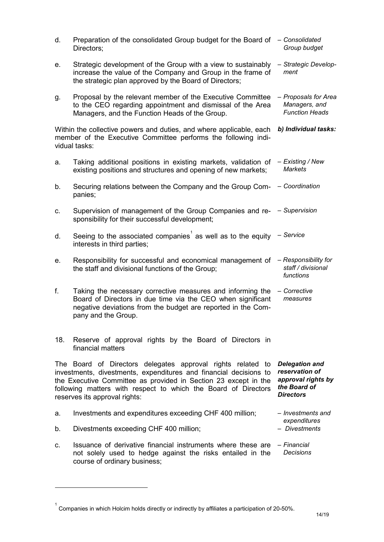| d.                                                                                                                                                     | Preparation of the consolidated Group budget for the Board of<br>Directors;                                                                                                                                                                                                                            | - Consolidated<br>Group budget                                                                    |  |
|--------------------------------------------------------------------------------------------------------------------------------------------------------|--------------------------------------------------------------------------------------------------------------------------------------------------------------------------------------------------------------------------------------------------------------------------------------------------------|---------------------------------------------------------------------------------------------------|--|
| е.                                                                                                                                                     | Strategic development of the Group with a view to sustainably<br>increase the value of the Company and Group in the frame of<br>the strategic plan approved by the Board of Directors;                                                                                                                 | - Strategic Develop-<br>ment                                                                      |  |
| g.                                                                                                                                                     | Proposal by the relevant member of the Executive Committee<br>to the CEO regarding appointment and dismissal of the Area<br>Managers, and the Function Heads of the Group.                                                                                                                             | - Proposals for Area<br>Managers, and<br><b>Function Heads</b>                                    |  |
| Within the collective powers and duties, and where applicable, each<br>member of the Executive Committee performs the following indi-<br>vidual tasks: |                                                                                                                                                                                                                                                                                                        | b) Individual tasks:                                                                              |  |
| a.                                                                                                                                                     | Taking additional positions in existing markets, validation of<br>existing positions and structures and opening of new markets;                                                                                                                                                                        | - Existing / New<br><b>Markets</b>                                                                |  |
| b.                                                                                                                                                     | Securing relations between the Company and the Group Com-<br>panies;                                                                                                                                                                                                                                   | - Coordination                                                                                    |  |
| c.                                                                                                                                                     | Supervision of management of the Group Companies and re- - Supervision<br>sponsibility for their successful development;                                                                                                                                                                               |                                                                                                   |  |
| d.                                                                                                                                                     | Seeing to the associated companies <sup>1</sup> as well as to the equity<br>interests in third parties;                                                                                                                                                                                                | - Service                                                                                         |  |
| е.                                                                                                                                                     | Responsibility for successful and economical management of<br>the staff and divisional functions of the Group;                                                                                                                                                                                         | - Responsibility for<br>staff / divisional<br>functions                                           |  |
| f.                                                                                                                                                     | Taking the necessary corrective measures and informing the<br>Board of Directors in due time via the CEO when significant<br>negative deviations from the budget are reported in the Com-<br>pany and the Group.                                                                                       | - Corrective<br>measures                                                                          |  |
| 18.                                                                                                                                                    | Reserve of approval rights by the Board of Directors in<br>financial matters                                                                                                                                                                                                                           |                                                                                                   |  |
|                                                                                                                                                        | The Board of Directors delegates approval rights related to<br>investments, divestments, expenditures and financial decisions to<br>the Executive Committee as provided in Section 23 except in the<br>following matters with respect to which the Board of Directors<br>reserves its approval rights: | <b>Delegation and</b><br>reservation of<br>approval rights by<br>the Board of<br><b>Directors</b> |  |
| a.                                                                                                                                                     | Investments and expenditures exceeding CHF 400 million;                                                                                                                                                                                                                                                | – Investments and                                                                                 |  |
| b.                                                                                                                                                     | Divestments exceeding CHF 400 million;                                                                                                                                                                                                                                                                 | expenditures<br>- Divestments                                                                     |  |
| c.                                                                                                                                                     | Issuance of derivative financial instruments where these are<br>not solely used to hedge against the risks entailed in the<br>course of ordinary business;                                                                                                                                             | – Financial<br><b>Decisions</b>                                                                   |  |

-

<span id="page-13-0"></span> $^{\rm 1}$  Companies in which Holcim holds directly or indirectly by affiliates a participation of 20-50%.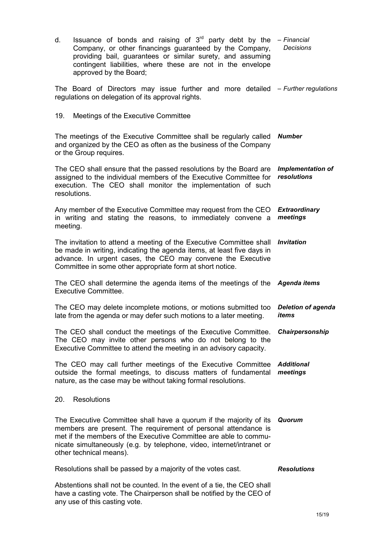| Issuance of bonds and raising of $3rd$ party debt by the<br>d.<br>Company, or other financings guaranteed by the Company,<br>providing bail, guarantees or similar surety, and assuming<br>contingent liabilities, where these are not in the envelope<br>approved by the Board;                             | - Financial<br><b>Decisions</b>         |
|--------------------------------------------------------------------------------------------------------------------------------------------------------------------------------------------------------------------------------------------------------------------------------------------------------------|-----------------------------------------|
| The Board of Directors may issue further and more detailed – Further regulations<br>regulations on delegation of its approval rights.                                                                                                                                                                        |                                         |
| 19.<br>Meetings of the Executive Committee                                                                                                                                                                                                                                                                   |                                         |
| The meetings of the Executive Committee shall be regularly called<br>and organized by the CEO as often as the business of the Company<br>or the Group requires.                                                                                                                                              | <b>Number</b>                           |
| The CEO shall ensure that the passed resolutions by the Board are<br>assigned to the individual members of the Executive Committee for<br>execution. The CEO shall monitor the implementation of such<br>resolutions.                                                                                        | <b>Implementation of</b><br>resolutions |
| Any member of the Executive Committee may request from the CEO<br>in writing and stating the reasons, to immediately convene a<br>meeting.                                                                                                                                                                   | <b>Extraordinary</b><br>meetings        |
| The invitation to attend a meeting of the Executive Committee shall<br>be made in writing, indicating the agenda items, at least five days in<br>advance. In urgent cases, the CEO may convene the Executive<br>Committee in some other appropriate form at short notice.                                    | <b>Invitation</b>                       |
| The CEO shall determine the agenda items of the meetings of the Agenda items<br>Executive Committee.                                                                                                                                                                                                         |                                         |
| The CEO may delete incomplete motions, or motions submitted too<br>late from the agenda or may defer such motions to a later meeting.                                                                                                                                                                        | <b>Deletion of agenda</b><br>items      |
| The CEO shall conduct the meetings of the Executive Committee.<br>The CEO may invite other persons who do not belong to the<br>Executive Committee to attend the meeting in an advisory capacity.                                                                                                            | Chairpersonship                         |
| The CEO may call further meetings of the Executive Committee<br>outside the formal meetings, to discuss matters of fundamental<br>nature, as the case may be without taking formal resolutions.                                                                                                              | <b>Additional</b><br>meetings           |
| <b>Resolutions</b><br>20.                                                                                                                                                                                                                                                                                    |                                         |
| The Executive Committee shall have a quorum if the majority of its<br>members are present. The requirement of personal attendance is<br>met if the members of the Executive Committee are able to commu-<br>nicate simultaneously (e.g. by telephone, video, internet/intranet or<br>other technical means). | Quorum                                  |
| Resolutions shall be passed by a majority of the votes cast.                                                                                                                                                                                                                                                 | <b>Resolutions</b>                      |
| Abstentions shall not be counted. In the event of a tie, the CEO shall<br>have a casting vote. The Chairperson shall be notified by the CEO of<br>any use of this casting vote.                                                                                                                              |                                         |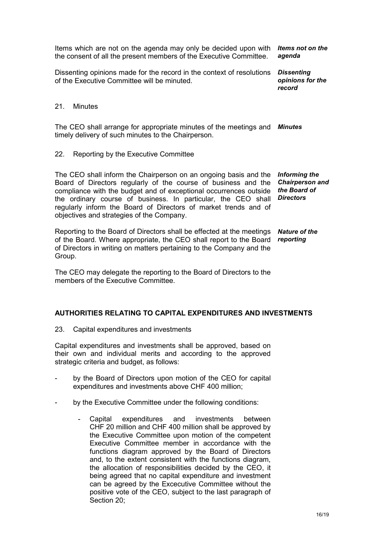Items which are not on the agenda may only be decided upon with *Items not on the*  the consent of all the present members of the Executive Committee. *agenda*

Dissenting opinions made for the record in the context of resolutions of the Executive Committee will be minuted.

*Dissenting opinions for the record*

#### 21. Minutes

The CEO shall arrange for appropriate minutes of the meetings and *Minutes* timely delivery of such minutes to the Chairperson.

22. Reporting by the Executive Committee

The CEO shall inform the Chairperson on an ongoing basis and the Board of Directors regularly of the course of business and the compliance with the budget and of exceptional occurrences outside the ordinary course of business. In particular, the CEO shall regularly inform the Board of Directors of market trends and of objectives and strategies of the Company. *Informing the Chairperson and the Board of Directors*

Reporting to the Board of Directors shall be effected at the meetings *Nature of the* of the Board. Where appropriate, the CEO shall report to the Board of Directors in writing on matters pertaining to the Company and the Group. *reporting*

The CEO may delegate the reporting to the Board of Directors to the members of the Executive Committee.

#### **AUTHORITIES RELATING TO CAPITAL EXPENDITURES AND INVESTMENTS**

23. Capital expenditures and investments

Capital expenditures and investments shall be approved, based on their own and individual merits and according to the approved strategic criteria and budget, as follows:

- by the Board of Directors upon motion of the CEO for capital expenditures and investments above CHF 400 million;
- by the Executive Committee under the following conditions:
	- Capital expenditures and investments between CHF 20 million and CHF 400 million shall be approved by the Executive Committee upon motion of the competent Executive Committee member in accordance with the functions diagram approved by the Board of Directors and, to the extent consistent with the functions diagram, the allocation of responsibilities decided by the CEO, it being agreed that no capital expenditure and investment can be agreed by the Excecutive Committee without the positive vote of the CEO, subject to the last paragraph of Section 20;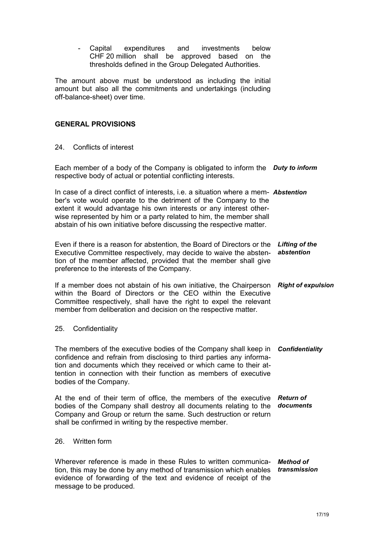- Capital expenditures and investments below CHF 20 million shall be approved based on the thresholds defined in the Group Delegated Authorities.

The amount above must be understood as including the initial amount but also all the commitments and undertakings (including off-balance-sheet) over time.

#### **GENERAL PROVISIONS**

#### 24 Conflicts of interest

Each member of a body of the Company is obligated to inform the *Duty to inform* respective body of actual or potential conflicting interests.

In case of a direct conflict of interests, i.e. a situation where a mem-*Abstention* ber's vote would operate to the detriment of the Company to the extent it would advantage his own interests or any interest otherwise represented by him or a party related to him, the member shall abstain of his own initiative before discussing the respective matter.

Even if there is a reason for abstention, the Board of Directors or the *Lifting of the*  Executive Committee respectively, may decide to waive the abstention of the member affected, provided that the member shall give preference to the interests of the Company. *abstention*

If a member does not abstain of his own initiative, the Chairperson *Right of expulsion* within the Board of Directors or the CEO within the Executive Committee respectively, shall have the right to expel the relevant member from deliberation and decision on the respective matter.

#### 25. Confidentiality

The members of the executive bodies of the Company shall keep in *Confidentiality* confidence and refrain from disclosing to third parties any information and documents which they received or which came to their attention in connection with their function as members of executive bodies of the Company.

At the end of their term of office, the members of the executive *Return of*  bodies of the Company shall destroy all documents relating to the *documents* Company and Group or return the same. Such destruction or return shall be confirmed in writing by the respective member.

#### 26. Written form

Wherever reference is made in these Rules to written communica-*Method of*  tion, this may be done by any method of transmission which enables *transmission*evidence of forwarding of the text and evidence of receipt of the message to be produced.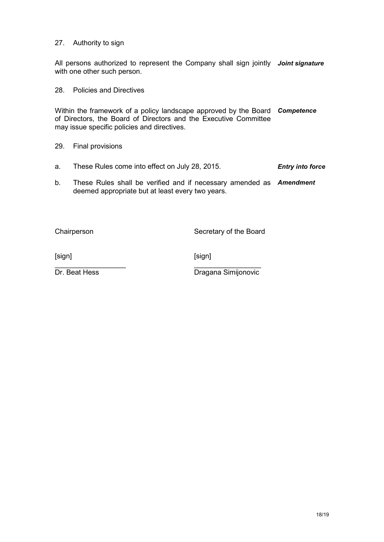#### 27. Authority to sign

All persons authorized to represent the Company shall sign jointly *Joint signature* with one other such person.

28. Policies and Directives

Within the framework of a policy landscape approved by the Board *Competence*  of Directors, the Board of Directors and the Executive Committee may issue specific policies and directives.

- 29. Final provisions
- a. These Rules come into effect on July 28, 2015. *Entry into force*
- b. These Rules shall be verified and if necessary amended as *Amendment* deemed appropriate but at least every two years.

Chairperson Secretary of the Board

[sign] [sign]

 $\overline{\phantom{a}}$  , and the contract of the contract of the contract of the contract of the contract of the contract of the contract of the contract of the contract of the contract of the contract of the contract of the contrac

**Dr. Beat Hess** Dragana Simijonovic